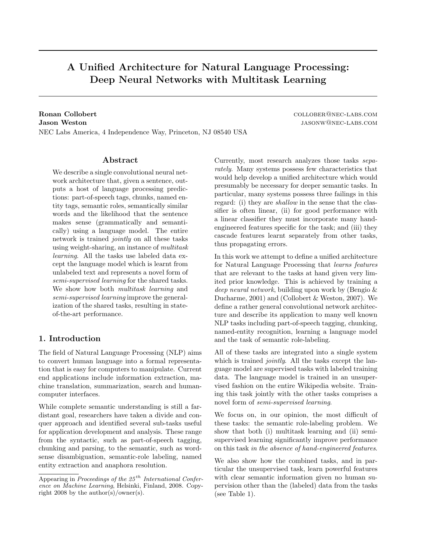# A Unified Architecture for Natural Language Processing: Deep Neural Networks with Multitask Learning

Ronan Collobert **Collobert** controlled the collobert controlled the collober controlled the controlled term of  $\alpha$ **Jason Weston jason weston jason weston** jason weston jason weston jason weston jason weston jason west variable v NEC Labs America, 4 Independence Way, Princeton, NJ 08540 USA

# Abstract

We describe a single convolutional neural network architecture that, given a sentence, outputs a host of language processing predictions: part-of-speech tags, chunks, named entity tags, semantic roles, semantically similar words and the likelihood that the sentence makes sense (grammatically and semantically) using a language model. The entire network is trained jointly on all these tasks using weight-sharing, an instance of multitask learning. All the tasks use labeled data except the language model which is learnt from unlabeled text and represents a novel form of semi-supervised learning for the shared tasks. We show how both *multitask learning* and semi-supervised learning improve the generalization of the shared tasks, resulting in stateof-the-art performance.

## 1. Introduction

The field of Natural Language Processing (NLP) aims to convert human language into a formal representation that is easy for computers to manipulate. Current end applications include information extraction, machine translation, summarization, search and humancomputer interfaces.

While complete semantic understanding is still a fardistant goal, researchers have taken a divide and conquer approach and identified several sub-tasks useful for application development and analysis. These range from the syntactic, such as part-of-speech tagging, chunking and parsing, to the semantic, such as wordsense disambiguation, semantic-role labeling, named entity extraction and anaphora resolution.

Currently, most research analyzes those tasks separately. Many systems possess few characteristics that would help develop a unified architecture which would presumably be necessary for deeper semantic tasks. In particular, many systems possess three failings in this regard: (i) they are shallow in the sense that the classifier is often linear, (ii) for good performance with a linear classifier they must incorporate many handengineered features specific for the task; and (iii) they cascade features learnt separately from other tasks, thus propagating errors.

In this work we attempt to define a unified architecture for Natural Language Processing that learns features that are relevant to the tasks at hand given very limited prior knowledge. This is achieved by training a deep neural network, building upon work by (Bengio  $\&$ Ducharme, 2001) and (Collobert & Weston, 2007). We define a rather general convolutional network architecture and describe its application to many well known NLP tasks including part-of-speech tagging, chunking, named-entity recognition, learning a language model and the task of semantic role-labeling.

All of these tasks are integrated into a single system which is trained *jointly*. All the tasks except the language model are supervised tasks with labeled training data. The language model is trained in an unsupervised fashion on the entire Wikipedia website. Training this task jointly with the other tasks comprises a novel form of semi-supervised learning.

We focus on, in our opinion, the most difficult of these tasks: the semantic role-labeling problem. We show that both (i) multitask learning and (ii) semisupervised learning significantly improve performance on this task in the absence of hand-engineered features.

We also show how the combined tasks, and in particular the unsupervised task, learn powerful features with clear semantic information given no human supervision other than the (labeled) data from the tasks (see Table 1).

Appearing in Proceedings of the  $25<sup>th</sup> International Confer$ ence on Machine Learning, Helsinki, Finland, 2008. Copyright 2008 by the author(s)/owner(s).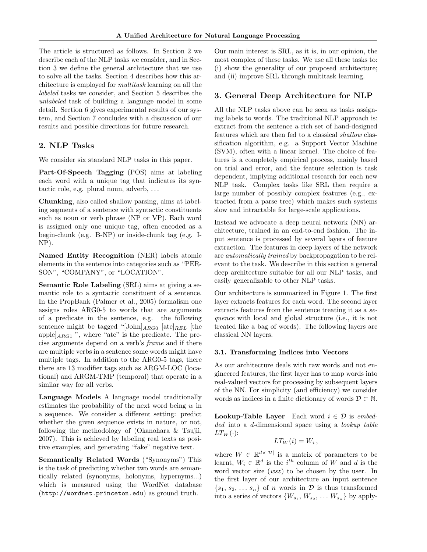The article is structured as follows. In Section 2 we describe each of the NLP tasks we consider, and in Section 3 we define the general architecture that we use to solve all the tasks. Section 4 describes how this architecture is employed for multitask learning on all the labeled tasks we consider, and Section 5 describes the unlabeled task of building a language model in some detail. Section 6 gives experimental results of our system, and Section 7 concludes with a discussion of our results and possible directions for future research.

# 2. NLP Tasks

We consider six standard NLP tasks in this paper.

Part-Of-Speech Tagging (POS) aims at labeling each word with a unique tag that indicates its syntactic role, e.g. plural noun, adverb, . . .

Chunking, also called shallow parsing, aims at labeling segments of a sentence with syntactic constituents such as noun or verb phrase (NP or VP). Each word is assigned only one unique tag, often encoded as a begin-chunk (e.g. B-NP) or inside-chunk tag (e.g. I-NP).

Named Entity Recognition (NER) labels atomic elements in the sentence into categories such as "PER-SON", "COMPANY", or "LOCATION".

Semantic Role Labeling (SRL) aims at giving a semantic role to a syntactic constituent of a sentence. In the PropBank (Palmer et al., 2005) formalism one assigns roles ARG0-5 to words that are arguments of a predicate in the sentence, e.g. the following sentence might be tagged "[John] $_{ARG0}$  [ate] $_{REL}$  [the  $apple|_{ARG1}$  ", where "ate" is the predicate. The precise arguments depend on a verb's frame and if there are multiple verbs in a sentence some words might have multiple tags. In addition to the ARG0-5 tags, there there are 13 modifier tags such as ARGM-LOC (locational) and ARGM-TMP (temporal) that operate in a similar way for all verbs.

Language Models A language model traditionally estimates the probability of the next word being  $w$  in a sequence. We consider a different setting: predict whether the given sequence exists in nature, or not, following the methodology of (Okanohara & Tsujii, 2007). This is achieved by labeling real texts as positive examples, and generating "fake" negative text.

Semantically Related Words ("Synonyms") This is the task of predicting whether two words are semantically related (synonyms, holonyms, hypernyms...) which is measured using the WordNet database (http://wordnet.princeton.edu) as ground truth.

Our main interest is SRL, as it is, in our opinion, the most complex of these tasks. We use all these tasks to: (i) show the generality of our proposed architecture; and (ii) improve SRL through multitask learning.

## 3. General Deep Architecture for NLP

All the NLP tasks above can be seen as tasks assigning labels to words. The traditional NLP approach is: extract from the sentence a rich set of hand-designed features which are then fed to a classical shallow classification algorithm, e.g. a Support Vector Machine (SVM), often with a linear kernel. The choice of features is a completely empirical process, mainly based on trial and error, and the feature selection is task dependent, implying additional research for each new NLP task. Complex tasks like SRL then require a large number of possibly complex features (e.g., extracted from a parse tree) which makes such systems slow and intractable for large-scale applications.

Instead we advocate a deep neural network (NN) architecture, trained in an end-to-end fashion. The input sentence is processed by several layers of feature extraction. The features in deep layers of the network are automatically trained by backpropagation to be relevant to the task. We describe in this section a general deep architecture suitable for all our NLP tasks, and easily generalizable to other NLP tasks.

Our architecture is summarized in Figure 1. The first layer extracts features for each word. The second layer extracts features from the sentence treating it as a sequence with local and global structure (i.e., it is not treated like a bag of words). The following layers are classical NN layers.

#### 3.1. Transforming Indices into Vectors

As our architecture deals with raw words and not engineered features, the first layer has to map words into real-valued vectors for processing by subsequent layers of the NN. For simplicity (and efficiency) we consider words as indices in a finite dictionary of words  $\mathcal{D} \subset \mathbb{N}$ .

**Lookup-Table Layer** Each word  $i \in \mathcal{D}$  is embedded into a d-dimensional space using a *lookup table*  $LT_W(\cdot)$ :

$$
LT_W(i) = W_i,
$$

where  $W \in \mathbb{R}^{d \times |\mathcal{D}|}$  is a matrix of parameters to be learnt,  $W_i \in \mathbb{R}^d$  is the  $i^{th}$  column of W and d is the word vector size  $(wsz)$  to be chosen by the user. In the first layer of our architecture an input sentence  $\{s_1, s_2, \ldots s_n\}$  of n words in  $\mathcal D$  is thus transformed into a series of vectors  $\{W_{s_1}, W_{s_2}, \ldots W_{s_n}\}$  by apply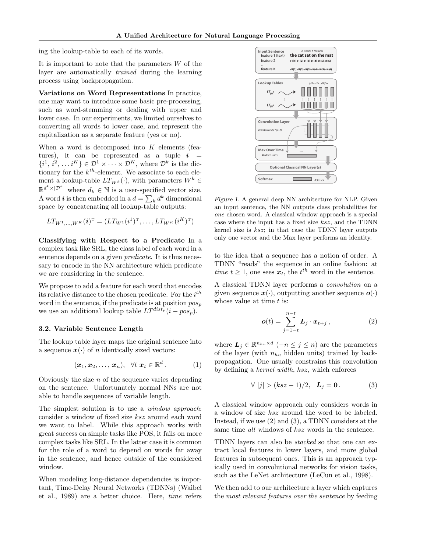ing the lookup-table to each of its words.

It is important to note that the parameters  $W$  of the layer are automatically trained during the learning process using backpropagation.

Variations on Word Representations In practice, one may want to introduce some basic pre-processing, such as word-stemming or dealing with upper and lower case. In our experiments, we limited ourselves to converting all words to lower case, and represent the capitalization as a separate feature (yes or no).

When a word is decomposed into  $K$  elements (features), it can be represented as a tuple  $i =$  $\{i^1, i^2, \ldots i^K\} \in \mathcal{D}^1 \times \cdots \times \mathcal{D}^K$ , where  $\mathcal{D}^k$  is the dictionary for the  $k^{th}$ -element. We associate to each element a lookup-table  $LT_{W^k}(\cdot)$ , with parameters  $W^k \in$  $\mathbb{R}^{d^k \times |\mathcal{D}^k|}$  where  $d_k \in \mathbb{N}$  is a user-specified vector size. A word *i* is then embedded in a  $d = \sum_k d^k$  dimensional space by concatenating all lookup-table outputs:

$$
LT_{W^1,\ldots,W^K}(\boldsymbol{i})^{\mathrm{T}} = (LT_{W^1}(i^1)^{\mathrm{T}},\ldots,LT_{W^K}(i^K)^{\mathrm{T}})
$$

Classifying with Respect to a Predicate In a complex task like SRL, the class label of each word in a sentence depends on a given *predicate*. It is thus necessary to encode in the NN architecture which predicate we are considering in the sentence.

We propose to add a feature for each word that encodes its relative distance to the chosen predicate. For the  $i^{th}$ word in the sentence, if the predicate is at position  $pos_p$ we use an additional lookup table  $LT^{dist_p}(i - pos_p)$ .

#### 3.2. Variable Sentence Length

The lookup table layer maps the original sentence into a sequence  $x(\cdot)$  of *n* identically sized vectors:

$$
(\boldsymbol{x}_1, \boldsymbol{x}_2, \ldots, \boldsymbol{x}_n), \ \forall t \ \boldsymbol{x}_t \in \mathbb{R}^d. \tag{1}
$$

Obviously the size  $n$  of the sequence varies depending on the sentence. Unfortunately normal NNs are not able to handle sequences of variable length.

The simplest solution is to use a *window approach*: consider a window of fixed size ksz around each word we want to label. While this approach works with great success on simple tasks like POS, it fails on more complex tasks like SRL. In the latter case it is common for the role of a word to depend on words far away in the sentence, and hence outside of the considered window.

When modeling long-distance dependencies is important, Time-Delay Neural Networks (TDNNs) (Waibel et al., 1989) are a better choice. Here, time refers



Figure 1. A general deep NN architecture for NLP. Given an input sentence, the NN outputs class probabilities for one chosen word. A classical window approach is a special case where the input has a fixed size ksz, and the TDNN kernel size is ksz; in that case the TDNN layer outputs only one vector and the Max layer performs an identity.

to the idea that a sequence has a notion of order. A TDNN "reads" the sequence in an online fashion: at *time*  $t \geq 1$ , one sees  $x_t$ , the  $t^{th}$  word in the sentence.

A classical TDNN layer performs a convolution on a given sequence  $x(\cdot)$ , outputting another sequence  $o(\cdot)$ whose value at time  $t$  is:

$$
\boldsymbol{o}(t) = \sum_{j=1-t}^{n-t} \boldsymbol{L}_j \cdot \boldsymbol{x}_{t+j} \,, \tag{2}
$$

where  $L_j \in \mathbb{R}^{n_{hu} \times d}$   $(-n \leq j \leq n)$  are the parameters of the layer (with  $n_{hu}$  hidden units) trained by backpropagation. One usually constrains this convolution by defining a kernel width, ksz, which enforces

$$
\forall |j| > (ksz - 1)/2, \quad L_j = 0. \tag{3}
$$

A classical window approach only considers words in a window of size ksz around the word to be labeled. Instead, if we use (2) and (3), a TDNN considers at the same time all windows of ksz words in the sentence.

TDNN layers can also be stacked so that one can extract local features in lower layers, and more global features in subsequent ones. This is an approach typically used in convolutional networks for vision tasks, such as the LeNet architecture (LeCun et al., 1998).

We then add to our architecture a layer which captures the most relevant features over the sentence by feeding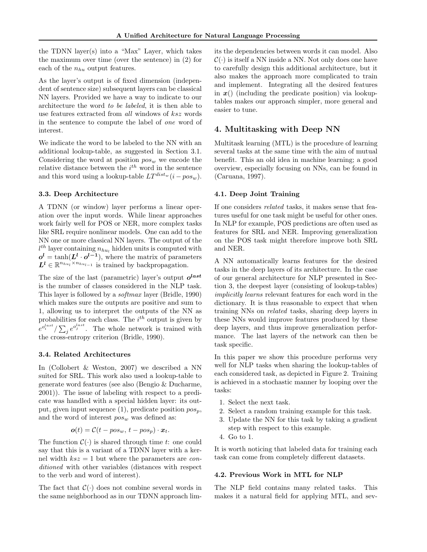the TDNN layer(s) into a "Max" Layer, which takes the maximum over time (over the sentence) in (2) for each of the  $n_{hu}$  output features.

As the layer's output is of fixed dimension (independent of sentence size) subsequent layers can be classical NN layers. Provided we have a way to indicate to our architecture the word to be labeled, it is then able to use features extracted from all windows of ksz words in the sentence to compute the label of one word of interest.

We indicate the word to be labeled to the NN with an additional lookup-table, as suggested in Section 3.1. Considering the word at position  $pos_w$  we encode the relative distance between the  $i^{th}$  word in the sentence and this word using a lookup-table  $LT^{dist_w}(i - pos_w)$ .

#### 3.3. Deep Architecture

A TDNN (or window) layer performs a linear operation over the input words. While linear approaches work fairly well for POS or NER, more complex tasks like SRL require nonlinear models. One can add to the NN one or more classical NN layers. The output of the  $l^{th}$  layer containing  $n_{hu_l}$  hidden units is computed with  $o^l = \tanh(L^l \cdot o^{l-1}),$  where the matrix of parameters  $L^{l} \in \mathbb{R}^{n_{hu_l} \times n_{hu_{l-1}}}$  is trained by backpropagation.

The size of the last (parametric) layer's output  $o<sup>last</sup>$ is the number of classes considered in the NLP task. This layer is followed by a softmax layer (Bridle, 1990) which makes sure the outputs are positive and sum to 1, allowing us to interpret the outputs of the NN as probabilities for each class. The  $i^{th}$  output is given by  $e^{o_i^{last}} / \sum_j e^{o_j^{last}}$ . The whole network is trained with the cross-entropy criterion (Bridle, 1990).

#### 3.4. Related Architectures

In (Collobert & Weston, 2007) we described a NN suited for SRL. This work also used a lookup-table to generate word features (see also (Bengio & Ducharme, 2001)). The issue of labeling with respect to a predicate was handled with a special hidden layer: its output, given input sequence (1), predicate position  $pos_n$ , and the word of interest  $pos_w$  was defined as:

$$
\boldsymbol{o}(t) = \mathcal{C}(t - pos_w, t - pos_p) \cdot \boldsymbol{x}_t.
$$

The function  $\mathcal{C}(\cdot)$  is shared through time t: one could say that this is a variant of a TDNN layer with a kernel width  $ksz = 1$  but where the parameters are *con*ditioned with other variables (distances with respect to the verb and word of interest).

The fact that  $\mathcal{C}(\cdot)$  does not combine several words in the same neighborhood as in our TDNN approach limits the dependencies between words it can model. Also  $\mathcal{C}(\cdot)$  is itself a NN inside a NN. Not only does one have to carefully design this additional architecture, but it also makes the approach more complicated to train and implement. Integrating all the desired features in  $x()$  (including the predicate position) via lookuptables makes our approach simpler, more general and easier to tune.

## 4. Multitasking with Deep NN

Multitask learning (MTL) is the procedure of learning several tasks at the same time with the aim of mutual benefit. This an old idea in machine learning; a good overview, especially focusing on NNs, can be found in (Caruana, 1997).

#### 4.1. Deep Joint Training

If one considers related tasks, it makes sense that features useful for one task might be useful for other ones. In NLP for example, POS predictions are often used as features for SRL and NER. Improving generalization on the POS task might therefore improve both SRL and NER.

A NN automatically learns features for the desired tasks in the deep layers of its architecture. In the case of our general architecture for NLP presented in Section 3, the deepest layer (consisting of lookup-tables) implicitly learns relevant features for each word in the dictionary. It is thus reasonable to expect that when training NNs on related tasks, sharing deep layers in these NNs would improve features produced by these deep layers, and thus improve generalization performance. The last layers of the network can then be task specific.

In this paper we show this procedure performs very well for NLP tasks when sharing the lookup-tables of each considered task, as depicted in Figure 2. Training is achieved in a stochastic manner by looping over the tasks:

- 1. Select the next task.
- 2. Select a random training example for this task.
- 3. Update the NN for this task by taking a gradient step with respect to this example.
- 4. Go to 1.

It is worth noticing that labeled data for training each task can come from completely different datasets.

## 4.2. Previous Work in MTL for NLP

The NLP field contains many related tasks. This makes it a natural field for applying MTL, and sev-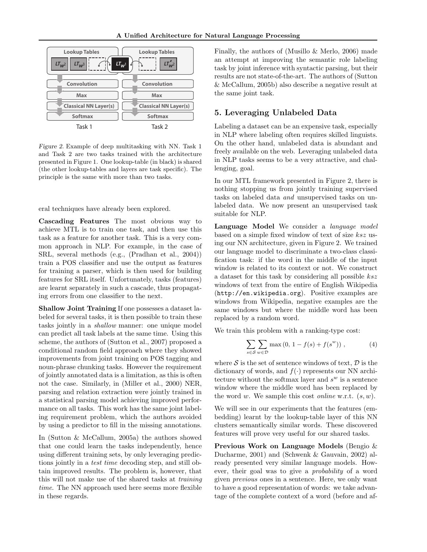

Figure 2. Example of deep multitasking with NN. Task 1 and Task 2 are two tasks trained with the architecture presented in Figure 1. One lookup-table (in black) is shared (the other lookup-tables and layers are task specific). The principle is the same with more than two tasks.

eral techniques have already been explored.

Cascading Features The most obvious way to achieve MTL is to train one task, and then use this task as a feature for another task. This is a very common approach in NLP. For example, in the case of SRL, several methods (e.g., (Pradhan et al., 2004)) train a POS classifier and use the output as features for training a parser, which is then used for building features for SRL itself. Unfortunately, tasks (features) are learnt separately in such a cascade, thus propagating errors from one classifier to the next.

Shallow Joint Training If one possesses a dataset labeled for several tasks, it is then possible to train these tasks jointly in a shallow manner: one unique model can predict all task labels at the same time. Using this scheme, the authors of (Sutton et al., 2007) proposed a conditional random field approach where they showed improvements from joint training on POS tagging and noun-phrase chunking tasks. However the requirement of jointly annotated data is a limitation, as this is often not the case. Similarly, in (Miller et al., 2000) NER, parsing and relation extraction were jointly trained in a statistical parsing model achieving improved performance on all tasks. This work has the same joint labeling requirement problem, which the authors avoided by using a predictor to fill in the missing annotations.

In (Sutton & McCallum, 2005a) the authors showed that one could learn the tasks independently, hence using different training sets, by only leveraging predictions jointly in a test time decoding step, and still obtain improved results. The problem is, however, that this will not make use of the shared tasks at training time. The NN approach used here seems more flexible in these regards.

Finally, the authors of (Musillo & Merlo, 2006) made an attempt at improving the semantic role labeling task by joint inference with syntactic parsing, but their results are not state-of-the-art. The authors of (Sutton & McCallum, 2005b) also describe a negative result at the same joint task.

## 5. Leveraging Unlabeled Data

Labeling a dataset can be an expensive task, especially in NLP where labeling often requires skilled linguists. On the other hand, unlabeled data is abundant and freely available on the web. Leveraging unlabeled data in NLP tasks seems to be a very attractive, and challenging, goal.

In our MTL framework presented in Figure 2, there is nothing stopping us from jointly training supervised tasks on labeled data and unsupervised tasks on unlabeled data. We now present an unsupervised task suitable for NLP.

Language Model We consider a *language model* based on a simple fixed window of text of size ksz using our NN architecture, given in Figure 2. We trained our language model to discriminate a two-class classification task: if the word in the middle of the input window is related to its context or not. We construct a dataset for this task by considering all possible ksz windows of text from the entire of English Wikipedia (http://en.wikipedia.org). Positive examples are windows from Wikipedia, negative examples are the same windows but where the middle word has been replaced by a random word.

We train this problem with a ranking-type cost:

$$
\sum_{s \in S} \sum_{w \in \mathcal{D}} \max(0, 1 - f(s) + f(s^w)), \tag{4}
$$

where  $S$  is the set of sentence windows of text,  $D$  is the dictionary of words, and  $f(.)$  represents our NN architecture without the softmax layer and  $s^w$  is a sentence window where the middle word has been replaced by the word w. We sample this cost *online* w.r.t.  $(s, w)$ .

We will see in our experiments that the features (embedding) learnt by the lookup-table layer of this NN clusters semantically similar words. These discovered features will prove very useful for our shared tasks.

Previous Work on Language Models (Bengio & Ducharme, 2001) and (Schwenk & Gauvain, 2002) already presented very similar language models. However, their goal was to give a probability of a word given previous ones in a sentence. Here, we only want to have a good representation of words: we take advantage of the complete context of a word (before and af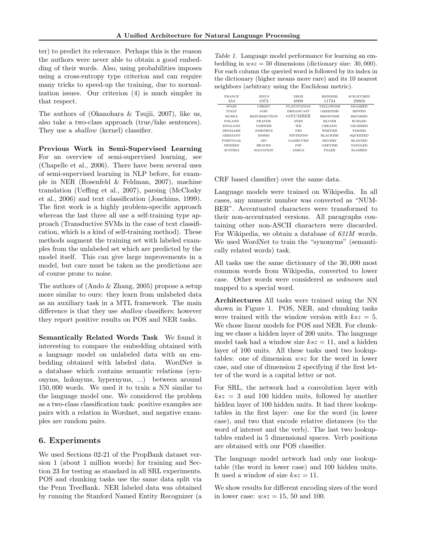ter) to predict its relevance. Perhaps this is the reason the authors were never able to obtain a good embedding of their words. Also, using probabilities imposes using a cross-entropy type criterion and can require many tricks to speed-up the training, due to normalization issues. Our criterion (4) is much simpler in that respect.

The authors of (Okanohara & Tsujii, 2007), like us, also take a two-class approach (true/fake sentences). They use a *shallow* (kernel) classifier.

Previous Work in Semi-Supervised Learning For an overview of semi-supervised learning, see (Chapelle et al., 2006). There have been several uses of semi-supervised learning in NLP before, for example in NER (Rosenfeld & Feldman, 2007), machine translation (Ueffing et al., 2007), parsing (McClosky et al., 2006) and text classification (Joachims, 1999). The first work is a highly problem-specific approach whereas the last three all use a self-training type approach (Transductive SVMs in the case of text classification, which is a kind of self-training method). These methods augment the training set with labeled examples from the unlabeled set which are predicted by the model itself. This can give large improvements in a model, but care must be taken as the predictions are of course prone to noise.

The authors of (Ando & Zhang, 2005) propose a setup more similar to ours: they learn from unlabeled data as an auxiliary task in a MTL framework. The main difference is that they use shallow classifiers; however they report positive results on POS and NER tasks.

Semantically Related Words Task We found it interesting to compare the embedding obtained with a language model on unlabeled data with an embedding obtained with labeled data. WordNet is a database which contains semantic relations (synonyms, holonyms, hypernyms, ...) between around 150, 000 words. We used it to train a NN similar to the language model one. We considered the problem as a two-class classification task: positive examples are pairs with a relation in Wordnet, and negative examples are random pairs.

## 6. Experiments

We used Sections 02-21 of the PropBank dataset version 1 (about 1 million words) for training and Section 23 for testing as standard in all SRL experiments. POS and chunking tasks use the same data split via the Penn TreeBank. NER labeled data was obtained by running the Stanford Named Entity Recognizer (a

Table 1. Language model performance for learning an embedding in  $wsz = 50$  dimensions (dictionary size: 30,000). For each column the queried word is followed by its index in the dictionary (higher means more rare) and its 10 nearest neighbors (arbitrary using the Euclidean metric).

| <b>FRANCE</b><br>454 | <b>JESUS</b><br>1973 | <b>XBOX</b><br>6909 | <b>REDDISH</b><br>11724 | <b>SCRATCHED</b><br>29869 |  |
|----------------------|----------------------|---------------------|-------------------------|---------------------------|--|
| <b>SPAIN</b>         | <b>CHRIST</b>        | <b>PLAYSTATION</b>  | <b>YELLOWISH</b>        | <b>SMASHED</b>            |  |
| <b>ITALY</b>         | GOD                  | <b>DREAMCAST</b>    | <b>GREENISH</b>         | <b>RIPPED</b>             |  |
| <b>RUSSIA</b>        | <b>RESURRECTION</b>  | <b>PSNUMBER</b>     | <b>BROWNISH</b>         | <b>BRUSHED</b>            |  |
| POLAND.              | <b>PRAYER</b>        | <b>SNES</b>         | <b>BLUISH</b>           | <b>HURLED</b>             |  |
| <b>ENGLAND</b>       | <b>YAHWEH</b>        | <b>WII</b>          | CREAMY                  | <b>GRABBED</b>            |  |
| <b>DENMARK</b>       | <b>JOSEPHUS</b>      | <b>NES</b>          | <b>WHITISH</b>          | <b>TOSSED</b>             |  |
| <b>GERMANY</b>       | <b>MOSES</b>         | <b>NINTENDO</b>     | <b>BLACKISH</b>         | <b>SOUEEZED</b>           |  |
| PORTUGAL             | <b>SIN</b>           | <b>GAMECURE</b>     | <b>SILVERY</b>          | <b>BLASTED</b>            |  |
| <b>SWEDEN</b>        | <b>HEAVEN</b>        | <b>PSP</b>          | <b>GREYISH</b>          | <b>TANGLED</b>            |  |
| <b>AUSTRIA</b>       | <b>SALVATION</b>     | <b>AMIGA</b>        | <b>PALER</b>            | <b>SLASHED</b>            |  |

#### CRF based classifier) over the same data.

Language models were trained on Wikipedia. In all cases, any numeric number was converted as "NUM-BER". Accentuated characters were transformed to their non-accentuated versions. All paragraphs containing other non-ASCII characters were discarded. For Wikipedia, we obtain a database of 631M words. We used WordNet to train the "synonyms" (semantically related words) task.

All tasks use the same dictionary of the 30, 000 most common words from Wikipedia, converted to lower case. Other words were considered as unknown and mapped to a special word.

Architectures All tasks were trained using the NN shown in Figure 1. POS, NER, and chunking tasks were trained with the window version with  $ksz = 5$ . We chose linear models for POS and NER. For chunking we chose a hidden layer of 200 units. The language model task had a window size  $ksz = 11$ , and a hidden layer of 100 units. All these tasks used two lookuptables: one of dimension wsz for the word in lower case, and one of dimension 2 specifying if the first letter of the word is a capital letter or not.

For SRL, the network had a convolution layer with  $ksz = 3$  and 100 hidden units, followed by another hidden layer of 100 hidden units. It had three lookuptables in the first layer: one for the word (in lower case), and two that encode relative distances (to the word of interest and the verb). The last two lookuptables embed in 5 dimensional spaces. Verb positions are obtained with our POS classifier.

The language model network had only one lookuptable (the word in lower case) and 100 hidden units. It used a window of size  $ksz = 11$ .

We show results for different encoding sizes of the word in lower case:  $wsz = 15$ , 50 and 100.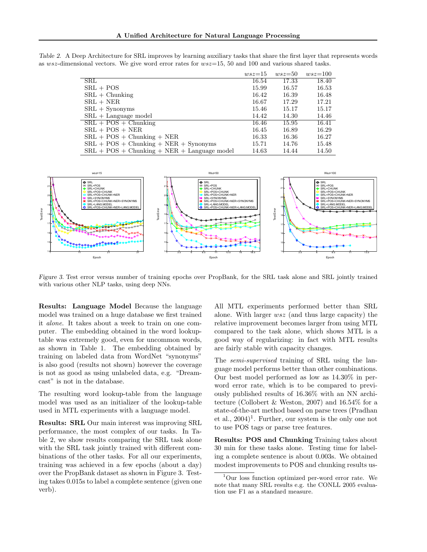Table 2. A Deep Architecture for SRL improves by learning auxiliary tasks that share the first layer that represents words as wsz-dimensional vectors. We give word error rates for  $wsz=15$ , 50 and 100 and various shared tasks.

|                                               | $wsz=15$ | $wsz=50$ | $wsz=100$ |
|-----------------------------------------------|----------|----------|-----------|
| SRL                                           | 16.54    | 17.33    | 18.40     |
| $SRL + POS$                                   | 15.99    | 16.57    | 16.53     |
| $SRL + Chunking$                              | 16.42    | 16.39    | 16.48     |
| $SRL + NER$                                   | 16.67    | 17.29    | 17.21     |
| $SRL + Symonyms$                              | 15.46    | 15.17    | 15.17     |
| $SRL + Language$ model                        | 14.42    | 14.30    | 14.46     |
| $SRL + POS + Chunking$                        | 16.46    | 15.95    | 16.41     |
| $SRL + POS + NER$                             | 16.45    | 16.89    | 16.29     |
| $SRL + POS + Chunking + NER$                  | 16.33    | 16.36    | 16.27     |
| $SRL + POS + Chunking + NER + Synonyms$       | 15.71    | 14.76    | 15.48     |
| $SRL + POS + Chunking + NER + Language model$ | 14.63    | 14.44    | 14.50     |



Figure 3. Test error versus number of training epochs over PropBank, for the SRL task alone and SRL jointly trained with various other NLP tasks, using deep NNs.

Results: Language Model Because the language model was trained on a huge database we first trained it alone. It takes about a week to train on one computer. The embedding obtained in the word lookuptable was extremely good, even for uncommon words, as shown in Table 1. The embedding obtained by training on labeled data from WordNet "synonyms" is also good (results not shown) however the coverage is not as good as using unlabeled data, e.g. "Dreamcast" is not in the database.

The resulting word lookup-table from the language model was used as an initializer of the lookup-table used in MTL experiments with a language model.

Results: SRL Our main interest was improving SRL performance, the most complex of our tasks. In Table 2, we show results comparing the SRL task alone with the SRL task jointly trained with different combinations of the other tasks. For all our experiments, training was achieved in a few epochs (about a day) over the PropBank dataset as shown in Figure 3. Testing takes 0.015s to label a complete sentence (given one verb).

All MTL experiments performed better than SRL alone. With larger wsz (and thus large capacity) the relative improvement becomes larger from using MTL compared to the task alone, which shows MTL is a good way of regularizing: in fact with MTL results are fairly stable with capacity changes.

The *semi-supervised* training of SRL using the language model performs better than other combinations. Our best model performed as low as 14.30% in perword error rate, which is to be compared to previously published results of 16.36% with an NN architecture (Collobert & Weston, 2007) and 16.54% for a state-of-the-art method based on parse trees (Pradhan et al.,  $2004$ <sup>1</sup>. Further, our system is the only one not to use POS tags or parse tree features.

Results: POS and Chunking Training takes about 30 min for these tasks alone. Testing time for labeling a complete sentence is about 0.003s. We obtained modest improvements to POS and chunking results us-

<sup>1</sup>Our loss function optimized per-word error rate. We note that many SRL results e.g. the CONLL 2005 evaluation use F1 as a standard measure.